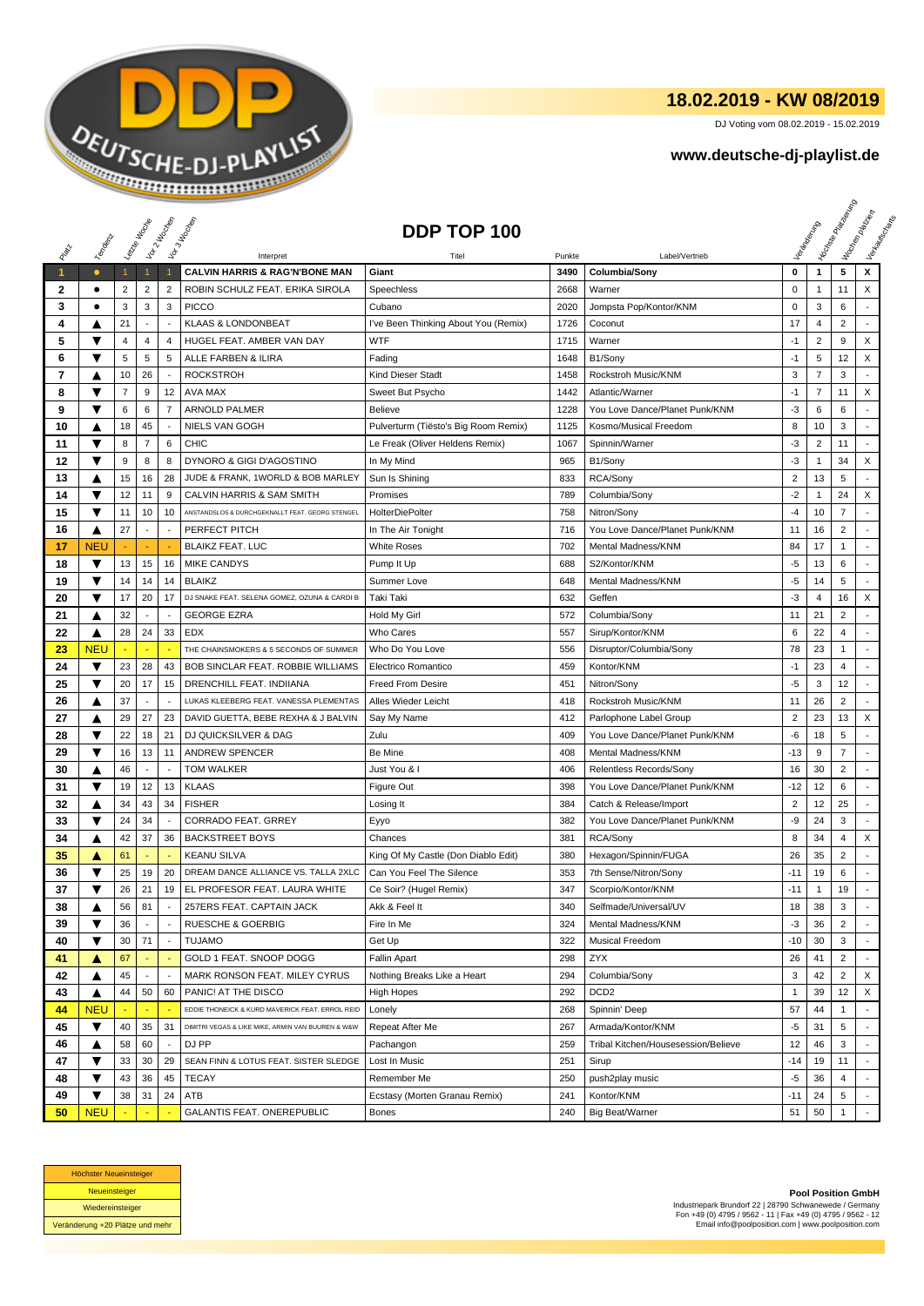

## **18.02.2019 - KW 08/2019**

DJ Voting vom 08.02.2019 - 15.02.2019

## **www.deutsche-dj-playlist.de**

|              |            |                |                          |                          |                                                   |                                      |        |                                     |                         |                | <b>H</b> oisse Papel |                             |
|--------------|------------|----------------|--------------------------|--------------------------|---------------------------------------------------|--------------------------------------|--------|-------------------------------------|-------------------------|----------------|----------------------|-----------------------------|
|              |            |                | Leizie Hacope            | Vor 2 Noon               | Vor3 Mockey                                       | DDP TOP 100                          |        |                                     |                         |                |                      | I too Render<br>I lewischer |
| RIVER        | Templative |                |                          |                          | Interpret                                         | Titel                                | Punkte | Label/Vertrieb                      |                         |                |                      |                             |
| $\mathbf{1}$ | $\bullet$  |                | $\mathbf{1}$             | -1                       | <b>CALVIN HARRIS &amp; RAG'N'BONE MAN</b>         | Giant                                | 3490   | Columbia/Sony                       | 0                       | $\mathbf{1}$   | 5                    | x                           |
| 2            | ٠          | 2              | $\overline{2}$           | 2                        | ROBIN SCHULZ FEAT. ERIKA SIROLA                   | <b>Speechless</b>                    | 2668   | Warner                              | 0                       | -1             | 11                   | X                           |
| 3            | ٠          | 3              | 3                        | 3                        | <b>PICCO</b>                                      | Cubano                               | 2020   | Jompsta Pop/Kontor/KNM              | $\pmb{0}$               | 3              | 6                    | $\overline{\phantom{a}}$    |
| 4            | A          | 21             | $\sim$                   | ÷.                       | <b>KLAAS &amp; LONDONBEAT</b>                     | I've Been Thinking About You (Remix) | 1726   | Coconut                             | 17                      | $\overline{4}$ | $\overline{2}$       |                             |
| 5            | ▼          | 4              | 4                        | $\overline{4}$           | HUGEL FEAT. AMBER VAN DAY                         | <b>WTF</b>                           | 1715   | Warner                              | $-1$                    | $\overline{2}$ | 9                    | X                           |
| 6            | ▼          | 5              | 5                        | 5                        | ALLE FARBEN & ILIRA                               | Fading                               | 1648   | B1/Sony                             | $-1$                    | 5              | 12                   | X                           |
| 7            | ▲          | 10             | 26                       |                          | <b>ROCKSTROH</b>                                  | Kind Dieser Stadt                    | 1458   | Rockstroh Music/KNM                 | 3                       | $\overline{7}$ | 3                    |                             |
| 8            | ▼          | $\overline{7}$ | 9                        | 12                       | AVA MAX                                           | Sweet But Psycho                     | 1442   | Atlantic/Warner                     | $-1$                    | $\overline{7}$ | 11                   | X                           |
| 9            | ▼          | 6              | 6                        | $\overline{7}$           | <b>ARNOLD PALMER</b>                              | Believe                              | 1228   | You Love Dance/Planet Punk/KNM      | -3                      | 6              | 6                    |                             |
| 10           | ▲          | 18             | 45                       |                          | <b>NIELS VAN GOGH</b>                             | Pulverturm (Tiësto's Big Room Remix) | 1125   | Kosmo/Musical Freedom               | 8                       | 10             | 3                    |                             |
| 11           | ▼          | 8              | $\overline{7}$           | 6                        | <b>CHIC</b>                                       | Le Freak (Oliver Heldens Remix)      | 1067   | Spinnin/Warner                      | $-3$                    | $\overline{2}$ | 11                   |                             |
| 12           | ▼          | 9              | 8                        | 8                        | DYNORO & GIGI D'AGOSTINO                          | In My Mind                           | 965    | B1/Sony                             | -3                      | -1             | 34                   | X                           |
| 13           | ▲          | 15             | 16                       | 28                       | JUDE & FRANK, 1WORLD & BOB MARLEY                 | Sun Is Shining                       | 833    | RCA/Sony                            | $\overline{\mathbf{c}}$ | 13             | 5                    |                             |
| 14           | ▼          | 12             | 11                       | 9                        | CALVIN HARRIS & SAM SMITH                         | Promises                             | 789    | Columbia/Sony                       | $-2$                    | -1             | 24                   | X                           |
| 15           | ▼          | 11             | 10                       | 10                       | ANSTANDSLOS & DURCHGEKNALLT FEAT. GEORG STENGEL   | <b>HolterDiePolter</b>               | 758    | Nitron/Sony                         | -4                      | 10             | $\overline{7}$       |                             |
| 16           | ▲          | 27             | $\blacksquare$           | $\overline{\phantom{a}}$ | PERFECT PITCH                                     | In The Air Tonight                   | 716    | You Love Dance/Planet Punk/KNM      | 11                      | 16             | $\overline{2}$       |                             |
| 17           | <b>NEU</b> |                |                          |                          | <b>BLAIKZ FEAT. LUC</b>                           | White Roses                          | 702    | Mental Madness/KNM                  | 84                      | 17             | $\mathbf{1}$         |                             |
| 18           | ▼          | 13             | 15                       | 16                       | <b>MIKE CANDYS</b>                                | Pump It Up                           | 688    | S2/Kontor/KNM                       | -5                      | 13             | 6                    |                             |
| 19           | ▼          | 14             | 14                       | 14                       | <b>BLAIKZ</b>                                     | Summer Love                          | 648    | Mental Madness/KNM                  | -5                      | 14             | 5                    |                             |
| 20           | ▼          | 17             | 20                       | 17                       | DJ SNAKE FEAT. SELENA GOMEZ, OZUNA & CARDI B      | Taki Taki                            | 632    | Geffen                              | $-3$                    | $\overline{4}$ | 16                   | X                           |
| 21           | ▲          | 32             | $\sim$                   |                          | <b>GEORGE EZRA</b>                                | Hold My Girl                         | 572    | Columbia/Sony                       | 11                      | 21             | $\overline{2}$       | ٠                           |
| 22           | ▲          | 28             | 24                       | 33                       | EDX                                               | <b>Who Cares</b>                     | 557    | Sirup/Kontor/KNM                    | 6                       | 22             | 4                    |                             |
| 23           | <b>NEU</b> |                |                          |                          | THE CHAINSMOKERS & 5 SECONDS OF SUMMER            | Who Do You Love                      | 556    | Disruptor/Columbia/Sony             | 78                      | 23             | 1                    |                             |
| 24           | ▼          | 23             | 28                       | 43                       | BOB SINCLAR FEAT. ROBBIE WILLIAMS                 | Electrico Romantico                  | 459    | Kontor/KNM                          | $-1$                    | 23             | 4                    |                             |
| 25           | ▼          | 20             | 17                       | 15                       | DRENCHILL FEAT. INDIIANA                          | <b>Freed From Desire</b>             | 451    | Nitron/Sony                         | $-5$                    | 3              | 12                   |                             |
| 26           | ▲          | 37             | $\sim$                   | $\overline{\phantom{a}}$ | LUKAS KLEEBERG FEAT. VANESSA PLEMENTAS            | Alles Wieder Leicht                  | 418    | Rockstroh Music/KNM                 | 11                      | 26             | $\overline{c}$       |                             |
| 27           | ▲          | 29             | 27                       | 23                       | DAVID GUETTA, BEBE REXHA & J BALVIN               | Say My Name                          | 412    | Parlophone Label Group              | $\overline{2}$          | 23             | 13                   | X                           |
| 28           | ▼          | 22             | 18                       | 21                       | DJ QUICKSILVER & DAG                              | Zulu                                 | 409    | You Love Dance/Planet Punk/KNM      | -6                      | 18             | 5                    |                             |
| 29           | ▼          | 16             | 13                       | 11                       | <b>ANDREW SPENCER</b>                             | Be Mine                              | 408    | Mental Madness/KNM                  | $-13$                   | 9              | $\overline{7}$       |                             |
| 30           | ▲          | 46             | $\overline{a}$           | $\sim$                   | <b>TOM WALKER</b>                                 | Just You & I                         | 406    | Relentless Records/Sony             | 16                      | 30             | $\overline{2}$       |                             |
| 31           | ▼          | 19             | 12                       | 13                       | <b>KLAAS</b>                                      | Figure Out                           | 398    | You Love Dance/Planet Punk/KNM      | $-12$                   | 12             | 6                    |                             |
| 32           | ▲          | 34             | 43                       | 34                       | <b>FISHER</b>                                     | Losing It                            | 384    | Catch & Release/Import              | $\overline{2}$          | 12             | 25                   |                             |
| 33           | ▼          | 24             | 34                       |                          | <b>CORRADO FEAT. GRREY</b>                        | Eyyo                                 | 382    | You Love Dance/Planet Punk/KNM      | -9                      | 24             | 3                    |                             |
| 34           | ▲          | 42             | 37                       | 36                       | <b>BACKSTREET BOYS</b>                            | Chances                              | 381    | RCA/Sony                            | 8                       | 34             | 4                    | X                           |
| 35           | A          | 61             |                          |                          | <b>KEANU SILVA</b>                                | King Of My Castle (Don Diablo Edit)  | 380    | Hexagon/Spinnin/FUGA                | 26                      | 35             | $\overline{2}$       |                             |
| 36           | ▼          | 25             | 19                       | 20                       | DREAM DANCE ALLIANCE VS. TALLA 2XLC               | Can You Feel The Silence             | 353    | 7th Sense/Nitron/Sony               | $-11$                   | 19             | 6                    |                             |
| 37           | ▼          | 26             | 21                       | 19                       | EL PROFESOR FEAT. LAURA WHITE                     | Ce Soir? (Hugel Remix)               | 347    | Scorpio/Kontor/KNM                  | $-11$                   | $\mathbf{1}$   | 19                   | $\overline{\phantom{a}}$    |
| 38           | ▲          | 56             | 81                       |                          | 257ERS FEAT. CAPTAIN JACK                         | Akk & Feel It                        | 340    | Selfmade/Universal/UV               | 18                      | 38             | 3                    |                             |
| 39           | ▼          | 36             | $\blacksquare$           | $\overline{\phantom{a}}$ | <b>RUESCHE &amp; GOERBIG</b>                      | Fire In Me                           | 324    | Mental Madness/KNM                  | $-3$                    | 36             | $\overline{2}$       |                             |
| 40           | ▼          | 30             | 71                       | $\overline{\phantom{a}}$ | <b>TUJAMO</b>                                     | Get Up                               | 322    | <b>Musical Freedom</b>              | $-10$                   | 30             | 3                    |                             |
| 41           | ▲          | 67             | $\blacksquare$           |                          | GOLD 1 FEAT. SNOOP DOGG                           | <b>Fallin Apart</b>                  | 298    | ZYX                                 | 26                      | 41             | $\overline{c}$       |                             |
| 42           | ▲          | 45             | $\overline{\phantom{a}}$ | $\overline{\phantom{a}}$ | MARK RONSON FEAT. MILEY CYRUS                     | Nothing Breaks Like a Heart          | 294    | Columbia/Sony                       | 3                       | 42             | $\overline{2}$       | X                           |
| 43           | ▲          | 44             | 50                       | 60                       | PANIC! AT THE DISCO                               | High Hopes                           | 292    | DCD <sub>2</sub>                    | 1                       | 39             | 12                   | X                           |
| 44           | <b>NEU</b> |                |                          |                          | EDDIE THONEICK & KURD MAVERICK FEAT. ERROL REID   | Lonely                               | 268    | Spinnin' Deep                       | 57                      | 44             | $\mathbf{1}$         |                             |
| 45           | ▼          | 40             | 35                       | 31                       | DIMITRI VEGAS & LIKE MIKE, ARMIN VAN BUUREN & W&W | Repeat After Me                      | 267    | Armada/Kontor/KNM                   | $-5$                    | 31             | 5                    |                             |
| 46           | ▲          | 58             | 60                       | $\sim$                   | DJ PP                                             | Pachangon                            | 259    | Tribal Kitchen/Housesession/Believe | 12                      | 46             | 3                    | $\blacksquare$              |
| 47           | ▼          | 33             | 30                       | 29                       | SEAN FINN & LOTUS FEAT. SISTER SLEDGE             | Lost In Music                        | 251    | Sirup                               | $-14$                   | 19             | 11                   |                             |
| 48           | ▼          | 43             | 36                       | 45                       | <b>TECAY</b>                                      | Remember Me                          | 250    | push2play music                     | $-5$                    | 36             | 4                    |                             |
| 49           | ▼          | 38             | 31                       | 24                       | ATB                                               | Ecstasy (Morten Granau Remix)        | 241    | Kontor/KNM                          | $-11$                   | 24             | 5                    |                             |
| 50           | <b>NEU</b> |                |                          |                          | GALANTIS FEAT. ONEREPUBLIC                        | Bones                                | 240    | <b>Big Beat/Warner</b>              | 51                      | 50             | $\mathbf{1}$         |                             |



**Pool Position GmbH** Industriepark Brundorf 22 | 28790 Schwanewede / Germany Fon +49 (0) 4795 / 9562 - 11 | Fax +49 (0) 4795 / 9562 - 12 Email info@poolposition.com | www.poolposition.com